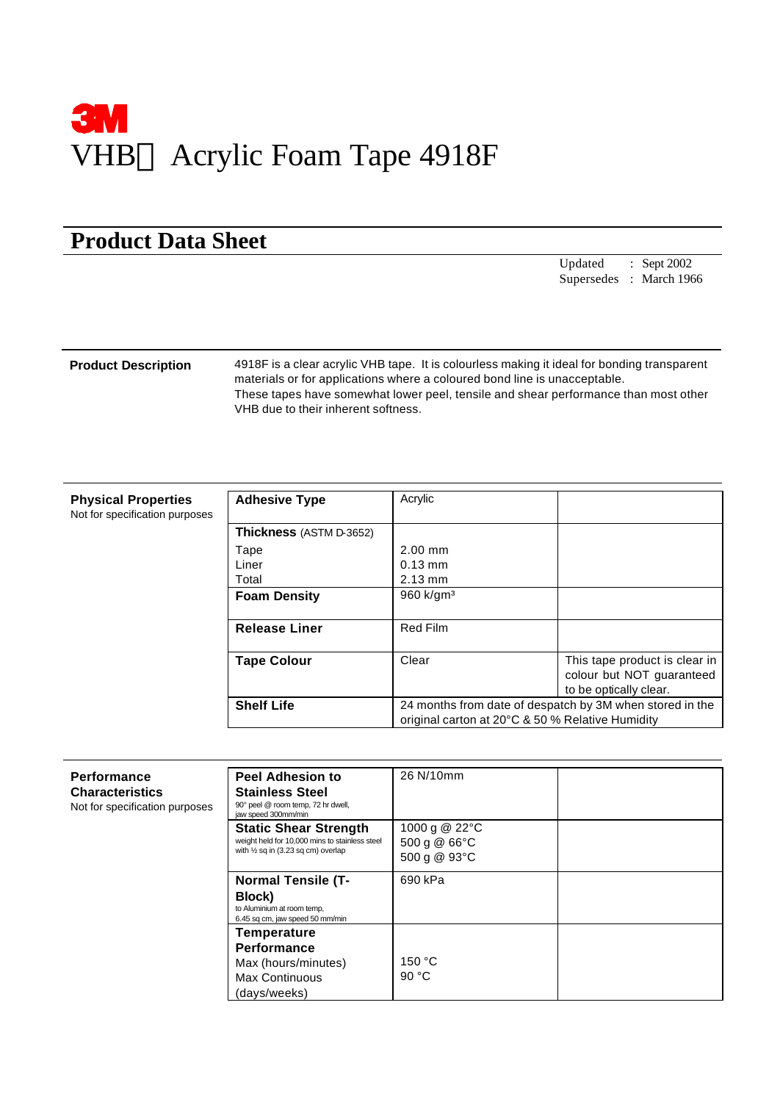

# **Product Data Sheet**

Updated : Sept 2002 Supersedes : March 1966

**Product Description** 4918F is a clear acrylic VHB tape. It is colourless making it ideal for bonding transparent materials or for applications where a coloured bond line is unacceptable. These tapes have somewhat lower peel, tensile and shear performance than most other VHB due to their inherent softness.

| <b>Physical Properties</b>     |  |  |
|--------------------------------|--|--|
| Not for specification purposes |  |  |

| <b>Adhesive Type</b>           | Acrylic                                                  |                               |
|--------------------------------|----------------------------------------------------------|-------------------------------|
|                                |                                                          |                               |
| <b>Thickness</b> (ASTM D-3652) |                                                          |                               |
| Tape                           | $2.00$ mm                                                |                               |
| Liner                          | $0.13 \text{ mm}$                                        |                               |
| Total                          | $2.13$ mm                                                |                               |
| <b>Foam Density</b>            | 960 $k$ /gm <sup>3</sup>                                 |                               |
|                                |                                                          |                               |
| <b>Release Liner</b>           | <b>Red Film</b>                                          |                               |
|                                |                                                          |                               |
| <b>Tape Colour</b>             | Clear                                                    | This tape product is clear in |
|                                |                                                          | colour but NOT guaranteed     |
|                                |                                                          | to be optically clear.        |
| <b>Shelf Life</b>              | 24 months from date of despatch by 3M when stored in the |                               |
|                                | original carton at 20°C & 50 % Relative Humidity         |                               |

| <b>Performance</b><br><b>Characteristics</b><br>Not for specification purposes | <b>Peel Adhesion to</b><br><b>Stainless Steel</b><br>90° peel @ room temp, 72 hr dwell,<br>jaw speed 300mm/min                  | 26 N/10mm                                          |  |
|--------------------------------------------------------------------------------|---------------------------------------------------------------------------------------------------------------------------------|----------------------------------------------------|--|
|                                                                                | <b>Static Shear Strength</b><br>weight held for 10,000 mins to stainless steel<br>with $\frac{1}{2}$ sq in (3.23 sq cm) overlap | 1000 g @ 22°C<br>500 g $@$ 66 $°C$<br>500 g @ 93°C |  |
|                                                                                | <b>Normal Tensile (T-</b><br>Block)<br>to Aluminium at room temp,<br>6.45 sq cm, jaw speed 50 mm/min                            | 690 kPa                                            |  |
|                                                                                | <b>Temperature</b><br>Performance<br>Max (hours/minutes)<br><b>Max Continuous</b><br>(days/weeks)                               | 150 °C<br>90 $°C$                                  |  |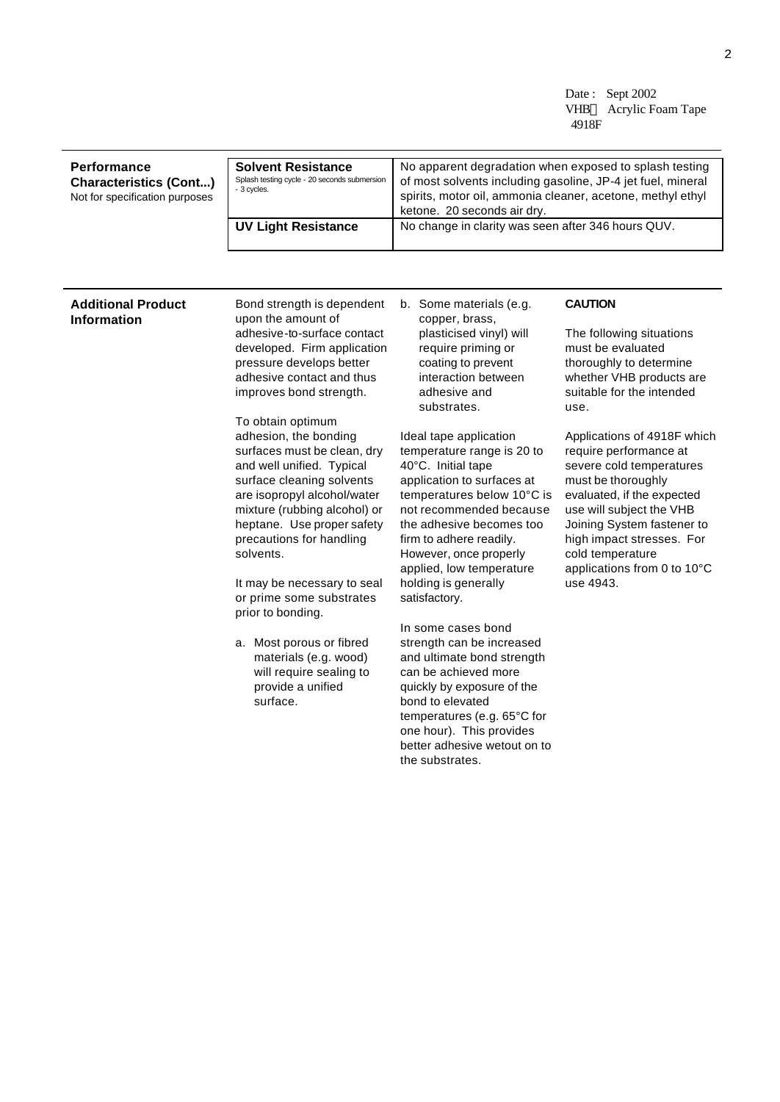Date: Sept 2002 VHB<sup>TM</sup> Acrylic Foam Tape 4918F

| Performance<br><b>Characteristics (Cont)</b><br>Not for specification purposes | <b>Solvent Resistance</b><br>Splash testing cycle - 20 seconds submersion<br>- 3 cycles. | No apparent degradation when exposed to splash testing<br>of most solvents including gasoline, JP-4 jet fuel, mineral<br>spirits, motor oil, ammonia cleaner, acetone, methyl ethyl<br>ketone. 20 seconds air dry. |
|--------------------------------------------------------------------------------|------------------------------------------------------------------------------------------|--------------------------------------------------------------------------------------------------------------------------------------------------------------------------------------------------------------------|
|                                                                                | <b>UV Light Resistance</b>                                                               | No change in clarity was seen after 346 hours QUV.                                                                                                                                                                 |

### **Additional Product Information**

Bond strength is dependent upon the amount of adhesive-to-surface contact developed. Firm application pressure develops better adhesive contact and thus improves bond strength.

To obtain optimum adhesion, the bonding surfaces must be clean, dry and well unified. Typical surface cleaning solvents are isopropyl alcohol/water mixture (rubbing alcohol) or heptane. Use proper safety precautions for handling solvents.

It may be necessary to seal or prime some substrates prior to bonding.

a. Most porous or fibred materials (e.g. wood) will require sealing to provide a unified surface.

b. Some materials (e.g. copper, brass, plasticised vinyl) will require priming or coating to prevent interaction between adhesive and substrates.

Ideal tape application temperature range is 20 to 40°C. Initial tape application to surfaces at temperatures below 10°C is not recommended because the adhesive becomes too firm to adhere readily. However, once properly applied, low temperature holding is generally satisfactory.

In some cases bond strength can be increased and ultimate bond strength can be achieved more quickly by exposure of the bond to elevated temperatures (e.g. 65°C for one hour). This provides better adhesive wetout on to the substrates.

## **CAUTION**

The following situations must be evaluated thoroughly to determine whether VHB products are suitable for the intended use.

Applications of 4918F which require performance at severe cold temperatures must be thoroughly evaluated, if the expected use will subject the VHB Joining System fastener to high impact stresses. For cold temperature applications from 0 to 10°C use 4943.